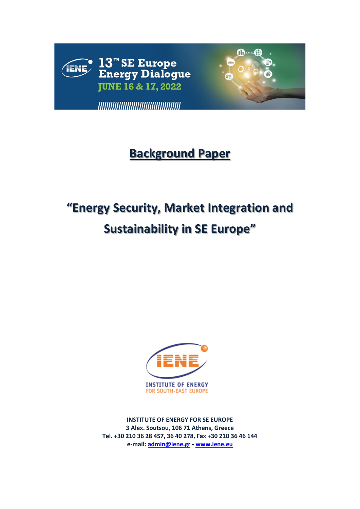

## **Background Paper**

# **"Energy Security, Market Integration and Sustainability in SE Europe"**



**INSTITUTE OF ENERGY FOR SE EUROPE 3 Alex. Soutsou, 106 71 Athens, Greece Tel. +30 210 36 28 457, 36 40 278, Fax +30 210 36 46 144 e-mail: [admin@iene.gr](mailto:admin@iene.gr) - [www.iene.eu](http://www.iene.eu/)**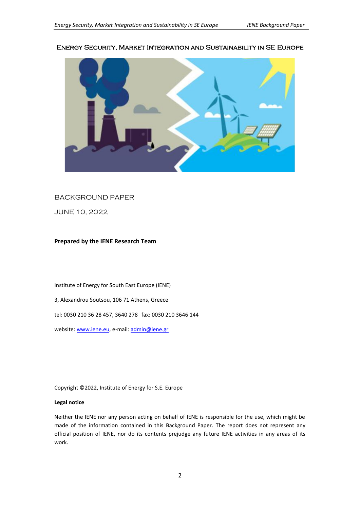## Energy Security, Market Integration and Sustainability in SE Europe



## BACKGROUND PAPER

JUNE 10, 2022

#### **Prepared by the IENE Research Team**

Institute of Energy for South East Europe (IENE)

3, Alexandrou Soutsou, 106 71 Athens, Greece

tel: 0030 210 36 28 457, 3640 278 fax: 0030 210 3646 144

website: www.iene.eu, e-mail: [admin@iene.gr](mailto:admin@iene.gr)

Copyright ©2022, Institute of Energy for S.E. Europe

#### **Legal notice**

Neither the IENE nor any person acting on behalf of IENE is responsible for the use, which might be made of the information contained in this Background Paper. The report does not represent any official position of IENE, nor do its contents prejudge any future IENE activities in any areas of its work.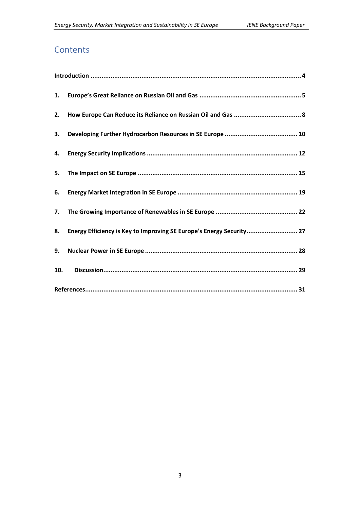## **Contents**

| 1.  |                                                                      |  |  |  |  |
|-----|----------------------------------------------------------------------|--|--|--|--|
| 2.  |                                                                      |  |  |  |  |
| 3.  |                                                                      |  |  |  |  |
| 4.  |                                                                      |  |  |  |  |
| 5.  |                                                                      |  |  |  |  |
| 6.  |                                                                      |  |  |  |  |
| 7.  |                                                                      |  |  |  |  |
| 8.  | Energy Efficiency is Key to Improving SE Europe's Energy Security 27 |  |  |  |  |
| 9.  |                                                                      |  |  |  |  |
| 10. |                                                                      |  |  |  |  |
|     |                                                                      |  |  |  |  |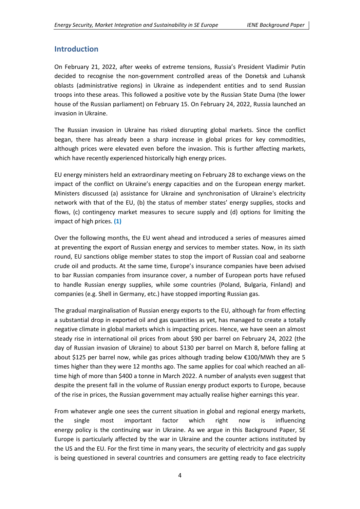## <span id="page-3-0"></span>**Introduction**

On February 21, 2022, after weeks of extreme tensions, Russia's President Vladimir Putin decided to recognise the non-government controlled areas of the Donetsk and Luhansk oblasts (administrative regions) in Ukraine as independent entities and to send Russian troops into these areas. This followed a positive vote by the Russian State Duma (the lower house of the Russian parliament) on February 15. On February 24, 2022, Russia launched an invasion in Ukraine.

The Russian invasion in Ukraine has risked disrupting global markets. Since the conflict began, there has already been a sharp increase in global prices for key commodities, although prices were elevated even before the invasion. This is further affecting markets, which have recently experienced historically high energy prices.

EU energy ministers held an extraordinary meeting on February 28 to exchange views on the impact of the conflict on Ukraine's energy capacities and on the European energy market. Ministers discussed (a) assistance for Ukraine and synchronisation of Ukraine's electricity network with that of the EU, (b) the status of member states' energy supplies, stocks and flows, (c) contingency market measures to secure supply and (d) options for limiting the impact of high prices. **(1)**

Over the following months, the EU went ahead and introduced a series of measures aimed at preventing the export of Russian energy and services to member states. Now, in its sixth round, EU sanctions oblige member states to stop the import of Russian coal and seaborne crude oil and products. At the same time, Europe's insurance companies have been advised to bar Russian companies from insurance cover, a number of European ports have refused to handle Russian energy supplies, while some countries (Poland, Bulgaria, Finland) and companies (e.g. Shell in Germany, etc.) have stopped importing Russian gas.

The gradual marginalisation of Russian energy exports to the EU, although far from effecting a substantial drop in exported oil and gas quantities as yet, has managed to create a totally negative climate in global markets which is impacting prices. Hence, we have seen an almost steady rise in international oil prices from about \$90 per barrel on February 24, 2022 (the day of Russian invasion of Ukraine) to about \$130 per barrel on March 8, before falling at about \$125 per barrel now, while gas prices although trading below €100/MWh they are 5 times higher than they were 12 months ago. The same applies for coal which reached an alltime high of more than \$400 a tonne in March 2022. A number of analysts even suggest that despite the present fall in the volume of Russian energy product exports to Europe, because of the rise in prices, the Russian government may actually realise higher earnings this year.

From whatever angle one sees the current situation in global and regional energy markets, the single most important factor which right now is influencing energy policy is the continuing war in Ukraine. As we argue in this Background Paper, SE Europe is particularly affected by the war in Ukraine and the counter actions instituted by the US and the EU. For the first time in many years, the security of electricity and gas supply is being questioned in several countries and consumers are getting ready to face electricity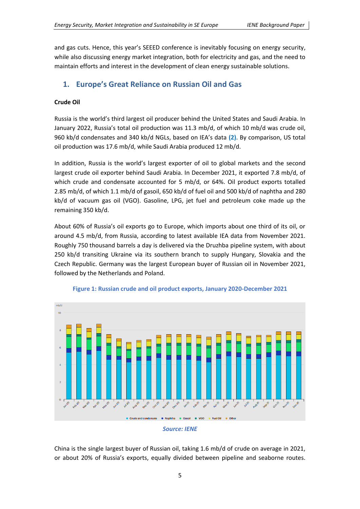and gas cuts. Hence, this year's SEEED conference is inevitably focusing on energy security, while also discussing energy market integration, both for electricity and gas, and the need to maintain efforts and interest in the development of clean energy sustainable solutions.

## <span id="page-4-0"></span>**1. Europe's Great Reliance on Russian Oil and Gas**

## **Crude Oil**

Russia is the world's third largest oil producer behind the United States and Saudi Arabia. In January 2022, Russia's total oil production was 11.3 mb/d, of which 10 mb/d was crude oil, 960 kb/d condensates and 340 kb/d NGLs, based on IEA's data **(2)**. By comparison, US total oil production was 17.6 mb/d, while Saudi Arabia produced 12 mb/d.

In addition, Russia is the world's largest exporter of oil to global markets and the second largest crude oil exporter behind Saudi Arabia. In December 2021, it exported 7.8 mb/d, of which crude and condensate accounted for 5 mb/d, or 64%. Oil product exports totalled 2.85 mb/d, of which 1.1 mb/d of gasoil, 650 kb/d of fuel oil and 500 kb/d of naphtha and 280 kb/d of vacuum gas oil (VGO). Gasoline, LPG, jet fuel and petroleum coke made up the remaining 350 kb/d.

About 60% of Russia's oil exports go to Europe, which imports about one third of its oil, or around 4.5 mb/d, from Russia, according to latest available IEA data from November 2021. Roughly 750 thousand barrels a day is delivered via the Druzhba pipeline system, with about 250 kb/d transiting Ukraine via its southern branch to supply Hungary, Slovakia and the Czech Republic. Germany was the largest European buyer of Russian oil in November 2021, followed by the Netherlands and Poland.



**Figure 1: Russian crude and oil product exports, January 2020-December 2021**

China is the single largest buyer of Russian oil, taking 1.6 mb/d of crude on average in 2021, or about 20% of Russia's exports, equally divided between pipeline and seaborne routes.

*Source: IENE*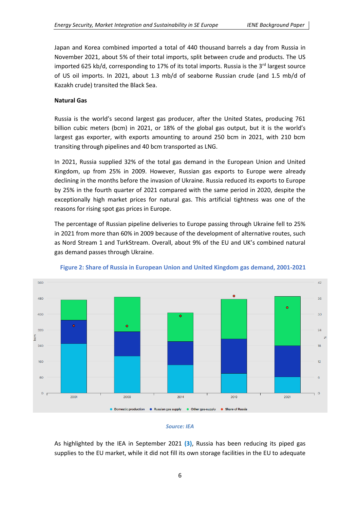Japan and Korea combined imported a total of 440 thousand barrels a day from Russia in November 2021, about 5% of their total imports, split between crude and products. The US imported 625 kb/d, corresponding to 17% of its total imports. Russia is the 3<sup>rd</sup> largest source of US oil imports. In 2021, about 1.3 mb/d of seaborne Russian crude (and 1.5 mb/d of Kazakh crude) transited the Black Sea.

#### **Natural Gas**

Russia is the world's second largest gas producer, after the United States, producing 761 billion cubic meters (bcm) in 2021, or 18% of the global gas output, but it is the world's largest gas exporter, with exports amounting to around 250 bcm in 2021, with 210 bcm transiting through pipelines and 40 bcm transported as LNG.

In 2021, Russia supplied 32% of the total gas demand in the European Union and United Kingdom, up from 25% in 2009. However, Russian gas exports to Europe were already declining in the months before the invasion of Ukraine. Russia reduced its exports to Europe by 25% in the fourth quarter of 2021 compared with the same period in 2020, despite the exceptionally high market prices for natural gas. This artificial tightness was one of the reasons for rising spot gas prices in Europe.

The percentage of Russian pipeline deliveries to Europe passing through Ukraine fell to 25% in 2021 from more than 60% in 2009 because of the development of alternative routes, such as Nord Stream 1 and TurkStream. Overall, about 9% of the EU and UK's combined natural gas demand passes through Ukraine.



#### **Figure 2: Share of Russia in European Union and United Kingdom gas demand, 2001-2021**

#### *Source: IEA*

As highlighted by the IEA in September 2021 **(3)**, Russia has been reducing its piped gas supplies to the EU market, while it did not fill its own storage facilities in the EU to adequate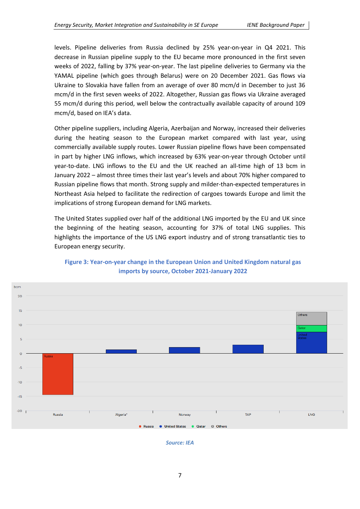levels. Pipeline deliveries from Russia declined by 25% year-on-year in Q4 2021. This decrease in Russian pipeline supply to the EU became more pronounced in the first seven weeks of 2022, falling by 37% year-on-year. The last pipeline deliveries to Germany via the YAMAL pipeline (which goes through Belarus) were on 20 December 2021. Gas flows via Ukraine to Slovakia have fallen from an average of over 80 mcm/d in December to just 36 mcm/d in the first seven weeks of 2022. Altogether, Russian gas flows via Ukraine averaged 55 mcm/d during this period, well below the contractually available capacity of around 109 mcm/d, based on IEA's data.

Other pipeline suppliers, including Algeria, Azerbaijan and Norway, increased their deliveries during the heating season to the European market compared with last year, using commercially available supply routes. Lower Russian pipeline flows have been compensated in part by higher LNG inflows, which increased by 63% year-on-year through October until year-to-date. LNG inflows to the EU and the UK reached an all-time high of 13 bcm in January 2022 – almost three times their last year's levels and about 70% higher compared to Russian pipeline flows that month. Strong supply and milder-than-expected temperatures in Northeast Asia helped to facilitate the redirection of cargoes towards Europe and limit the implications of strong European demand for LNG markets.

The United States supplied over half of the additional LNG imported by the EU and UK since the beginning of the heating season, accounting for 37% of total LNG supplies. This highlights the importance of the US LNG export industry and of strong transatlantic ties to European energy security.



## **Figure 3: Year-on-year change in the European Union and United Kingdom natural gas imports by source, October 2021-January 2022**

*Source: IEA*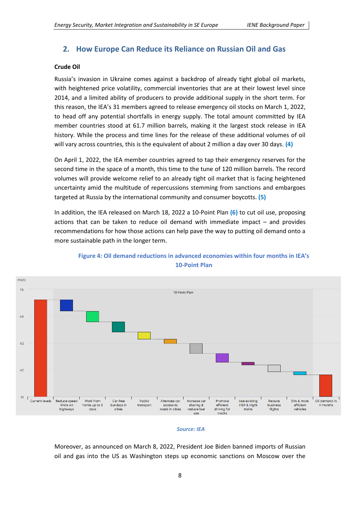## <span id="page-7-0"></span>**2. How Europe Can Reduce its Reliance on Russian Oil and Gas**

#### **Crude Oil**

Russia's invasion in Ukraine comes against a backdrop of already tight global oil markets, with heightened price volatility, commercial inventories that are at their lowest level since 2014, and a limited ability of producers to provide additional supply in the short term. For this reason, the IEA's 31 members agreed to release emergency oil stocks on March 1, 2022, to head off any potential shortfalls in energy supply. The total amount committed by IEA member countries stood at 61.7 million barrels, making it the largest stock release in IEA history. While the process and time lines for the release of these additional volumes of oil will vary across countries, this is the equivalent of about 2 million a day over 30 days. **(4)**

On April 1, 2022, the IEA member countries agreed to tap their emergency reserves for the second time in the space of a month, this time to the tune of 120 million barrels. The record volumes will provide welcome relief to an already tight oil market that is facing heightened uncertainty amid the multitude of repercussions stemming from sanctions and embargoes targeted at Russia by the international community and consumer boycotts. **(5)**

In addition, the IEA released on March 18, 2022 a 10-Point Plan **(6)** to cut oil use, proposing actions that can be taken to reduce oil demand with immediate impact  $-$  and provides recommendations for how those actions can help pave the way to putting oil demand onto a more sustainable path in the longer term.



## **Figure 4: Oil demand reductions in advanced economies within four months in ΙΕΑ's 10-Point Plan**

#### *Source: IEA*

Moreover, as announced on March 8, 2022, President Joe Biden banned imports of Russian oil and gas into the US as Washington steps up economic sanctions on Moscow over the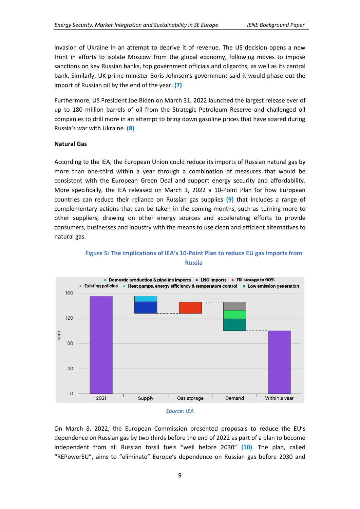invasion of Ukraine in an attempt to deprive it of revenue. The US decision opens a new front in efforts to isolate Moscow from the global economy, following moves to impose sanctions on key Russian banks, top government officials and oligarchs, as well as its central bank. Similarly, UK prime minister Boris Johnson's government said it would phase out the import of Russian oil by the end of the year. **(7)**

Furthermore, US President Joe Biden on March 31, 2022 launched the largest release ever of up to 180 million barrels of oil from the Strategic Petroleum Reserve and challenged oil companies to drill more in an attempt to bring down gasoline prices that have soared during Russia's war with Ukraine. **(8)**

#### **Natural Gas**

According to the IEA, the European Union could reduce its imports of Russian natural gas by more than one-third within a year through a combination of measures that would be consistent with the European Green Deal and support energy security and affordability. More specifically, the IEA released on March 3, 2022 a 10-Point Plan for how European countries can reduce their reliance on Russian gas supplies **(9)** that includes a range of complementary actions that can be taken in the coming months, such as turning more to other suppliers, drawing on other energy sources and accelerating efforts to provide consumers, businesses and industry with the means to use clean and efficient alternatives to natural gas.



#### **Figure 5: The implications of IEA's 10-Point Plan to reduce EU gas imports from Russia**

On March 8, 2022, the European Commission presented proposals to reduce the EU's dependence on Russian gas by two thirds before the end of 2022 as part of a plan to become independent from all Russian fossil fuels "well before 2030" **(10)**. The plan, called "REPowerEU", aims to "eliminate" Europe's dependence on Russian gas before 2030 and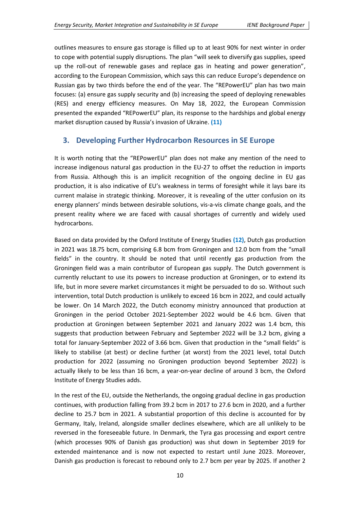outlines measures to ensure gas storage is filled up to at least 90% for next winter in order to cope with potential supply disruptions. The plan "will seek to diversify gas supplies, speed up the roll-out of renewable gases and replace gas in heating and power generation", according to the European Commission, which says this can reduce Europe's dependence on Russian gas by two thirds before the end of the year. The "REPowerEU" plan has two main focuses: (a) ensure gas supply security and (b) increasing the speed of deploying renewables (RES) and energy efficiency measures. On May 18, 2022, the European Commission presented the expanded "REPowerEU" plan, its response to the hardships and global energy market disruption caused by Russia's invasion of Ukraine. **(11)**

## <span id="page-9-0"></span>**3. Developing Further Hydrocarbon Resources in SE Europe**

It is worth noting that the "REPowerEU" plan does not make any mention of the need to increase indigenous natural gas production in the EU-27 to offset the reduction in imports from Russia. Although this is an implicit recognition of the ongoing decline in EU gas production, it is also indicative of EU's weakness in terms of foresight while it lays bare its current malaise in strategic thinking. Moreover, it is revealing of the utter confusion on its energy planners' minds between desirable solutions, vis-a-vis climate change goals, and the present reality where we are faced with causal shortages of currently and widely used hydrocarbons.

Based on data provided by the Oxford Institute of Energy Studies **(12)**, Dutch gas production in 2021 was 18.75 bcm, comprising 6.8 bcm from Groningen and 12.0 bcm from the "small fields" in the country. It should be noted that until recently gas production from the Groningen field was a main contributor of European gas supply. The Dutch government is currently reluctant to use its powers to increase production at Groningen, or to extend its life, but in more severe market circumstances it might be persuaded to do so. Without such intervention, total Dutch production is unlikely to exceed 16 bcm in 2022, and could actually be lower. On 14 March 2022, the Dutch economy ministry announced that production at Groningen in the period October 2021-September 2022 would be 4.6 bcm. Given that production at Groningen between September 2021 and January 2022 was 1.4 bcm, this suggests that production between February and September 2022 will be 3.2 bcm, giving a total for January-September 2022 of 3.66 bcm. Given that production in the "small fields" is likely to stabilise (at best) or decline further (at worst) from the 2021 level, total Dutch production for 2022 (assuming no Groningen production beyond September 2022) is actually likely to be less than 16 bcm, a year-on-year decline of around 3 bcm, the Oxford Institute of Energy Studies adds.

In the rest of the EU, outside the Netherlands, the ongoing gradual decline in gas production continues, with production falling from 39.2 bcm in 2017 to 27.6 bcm in 2020, and a further decline to 25.7 bcm in 2021. A substantial proportion of this decline is accounted for by Germany, Italy, Ireland, alongside smaller declines elsewhere, which are all unlikely to be reversed in the foreseeable future. In Denmark, the Tyra gas processing and export centre (which processes 90% of Danish gas production) was shut down in September 2019 for extended maintenance and is now not expected to restart until June 2023. Moreover, Danish gas production is forecast to rebound only to 2.7 bcm per year by 2025. If another 2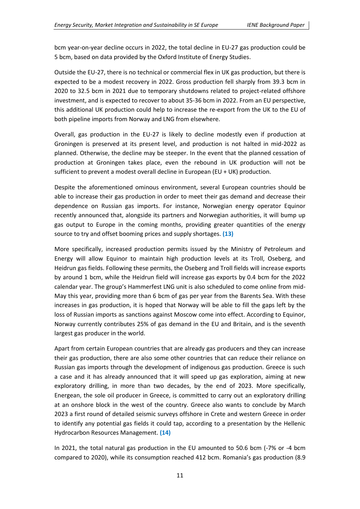bcm year-on-year decline occurs in 2022, the total decline in EU-27 gas production could be 5 bcm, based on data provided by the Oxford Institute of Energy Studies.

Outside the EU-27, there is no technical or commercial flex in UK gas production, but there is expected to be a modest recovery in 2022. Gross production fell sharply from 39.3 bcm in 2020 to 32.5 bcm in 2021 due to temporary shutdowns related to project-related offshore investment, and is expected to recover to about 35-36 bcm in 2022. From an EU perspective, this additional UK production could help to increase the re-export from the UK to the EU of both pipeline imports from Norway and LNG from elsewhere.

Overall, gas production in the EU-27 is likely to decline modestly even if production at Groningen is preserved at its present level, and production is not halted in mid-2022 as planned. Otherwise, the decline may be steeper. In the event that the planned cessation of production at Groningen takes place, even the rebound in UK production will not be sufficient to prevent a modest overall decline in European (EU + UK) production.

Despite the aforementioned ominous environment, several European countries should be able to increase their gas production in order to meet their gas demand and decrease their dependence on Russian gas imports. For instance, Norwegian energy operator Equinor recently announced that, alongside its partners and Norwegian authorities, it will bump up gas output to Europe in the coming months, providing greater quantities of the energy source to try and offset booming prices and supply shortages. **(13)**

More specifically, increased production permits issued by the Ministry of Petroleum and Energy will allow Equinor to maintain high production levels at its Troll, Oseberg, and Heidrun gas fields. Following these permits, the Oseberg and Troll fields will increase exports by around 1 bcm, while the Heidrun field will increase gas exports by 0.4 bcm for the 2022 calendar year. The group's Hammerfest LNG unit is also scheduled to come online from mid-May this year, providing more than 6 bcm of gas per year from the Barents Sea. With these increases in gas production, it is hoped that Norway will be able to fill the gaps left by the loss of Russian imports as sanctions against Moscow come into effect. According to Equinor, Norway currently contributes 25% of gas demand in the EU and Britain, and is the seventh largest gas producer in the world.

Apart from certain European countries that are already gas producers and they can increase their gas production, there are also some other countries that can reduce their reliance on Russian gas imports through the development of indigenous gas production. Greece is such a case and it has already announced that it will speed up gas exploration, aiming at new exploratory drilling, in more than two decades, by the end of 2023. More specifically, Energean, the sole oil producer in Greece, is committed to carry out an exploratory drilling at an onshore block in the west of the country. Greece also wants to conclude by March 2023 a first round of detailed seismic surveys offshore in Crete and western Greece in order to identify any potential gas fields it could tap, according to a presentation by the Hellenic Hydrocarbon Resources Management. **(14)**

In 2021, the total natural gas production in the EU amounted to 50.6 bcm (-7% or -4 bcm compared to 2020), while its consumption reached 412 bcm. Romania's gas production (8.9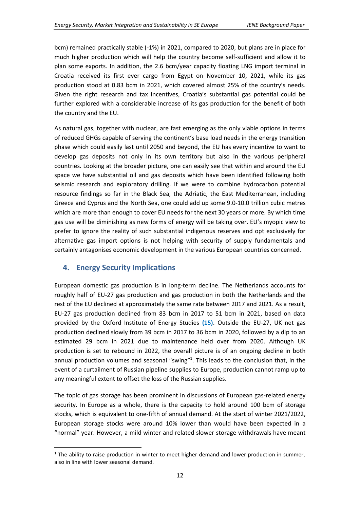bcm) remained practically stable (-1%) in 2021, compared to 2020, but plans are in place for much higher production which will help the country become self-sufficient and allow it to plan some exports. In addition, the 2.6 bcm/year capacity floating LNG import terminal in Croatia received its first ever cargo from Egypt on November 10, 2021, while its gas production stood at 0.83 bcm in 2021, which covered almost 25% of the country's needs. Given the right research and tax incentives, Croatia's substantial gas potential could be further explored with a considerable increase of its gas production for the benefit of both the country and the EU.

As natural gas, together with nuclear, are fast emerging as the only viable options in terms of reduced GHGs capable of serving the continent's base load needs in the energy transition phase which could easily last until 2050 and beyond, the EU has every incentive to want to develop gas deposits not only in its own territory but also in the various peripheral countries. Looking at the broader picture, one can easily see that within and around the EU space we have substantial oil and gas deposits which have been identified following both seismic research and exploratory drilling. If we were to combine hydrocarbon potential resource findings so far in the Black Sea, the Adriatic, the East Mediterranean, including Greece and Cyprus and the North Sea, one could add up some 9.0-10.0 trillion cubic metres which are more than enough to cover EU needs for the next 30 years or more. By which time gas use will be diminishing as new forms of energy will be taking over. EU's myopic view to prefer to ignore the reality of such substantial indigenous reserves and opt exclusively for alternative gas import options is not helping with security of supply fundamentals and certainly antagonises economic development in the various European countries concerned.

## <span id="page-11-0"></span>**4. Energy Security Implications**

European domestic gas production is in long-term decline. The Netherlands accounts for roughly half of EU-27 gas production and gas production in both the Netherlands and the rest of the EU declined at approximately the same rate between 2017 and 2021. As a result, EU-27 gas production declined from 83 bcm in 2017 to 51 bcm in 2021, based on data provided by the Oxford Institute of Energy Studies **(15)**. Outside the EU-27, UK net gas production declined slowly from 39 bcm in 2017 to 36 bcm in 2020, followed by a dip to an estimated 29 bcm in 2021 due to maintenance held over from 2020. Although UK production is set to rebound in 2022, the overall picture is of an ongoing decline in both annual production volumes and seasonal "swing"<sup>1</sup>. This leads to the conclusion that, in the event of a curtailment of Russian pipeline supplies to Europe, production cannot ramp up to any meaningful extent to offset the loss of the Russian supplies.

The topic of gas storage has been prominent in discussions of European gas-related energy security. In Europe as a whole, there is the capacity to hold around 100 bcm of storage stocks, which is equivalent to one-fifth of annual demand. At the start of winter 2021/2022, European storage stocks were around 10% lower than would have been expected in a "normal" year. However, a mild winter and related slower storage withdrawals have meant

 $1$  The ability to raise production in winter to meet higher demand and lower production in summer, also in line with lower seasonal demand.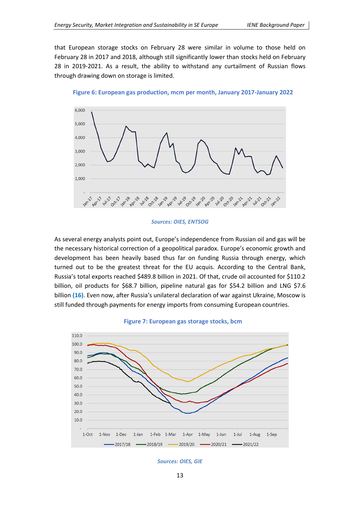that European storage stocks on February 28 were similar in volume to those held on February 28 in 2017 and 2018, although still significantly lower than stocks held on February 28 in 2019-2021. As a result, the ability to withstand any curtailment of Russian flows through drawing down on storage is limited.





#### *Sources: OIES, ENTSOG*

As several energy analysts point out, Europe's independence from Russian oil and gas will be the necessary historical correction of a geopolitical paradox. Europe's economic growth and development has been heavily based thus far on funding Russia through energy, which turned out to be the greatest threat for the EU acquis. According to the Central Bank, Russia's total exports reached \$489.8 billion in 2021. Of that, crude oil accounted for \$110.2 billion, oil products for \$68.7 billion, pipeline natural gas for \$54.2 billion and LNG \$7.6 billion **(16)**. Even now, after Russia's unilateral declaration of war against Ukraine, Moscow is still funded through payments for energy imports from consuming European countries.



#### **Figure 7: European gas storage stocks, bcm**

#### *Sources: OIES, GIE*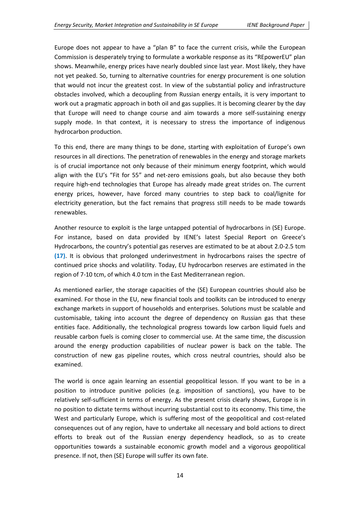Europe does not appear to have a "plan B" to face the current crisis, while the European Commission is desperately trying to formulate a workable response as its "REpowerEU" plan shows. Meanwhile, energy prices have nearly doubled since last year. Most likely, they have not yet peaked. So, turning to alternative countries for energy procurement is one solution that would not incur the greatest cost. In view of the substantial policy and infrastructure obstacles involved, which a decoupling from Russian energy entails, it is very important to work out a pragmatic approach in both oil and gas supplies. It is becoming clearer by the day that Europe will need to change course and aim towards a more self-sustaining energy supply mode. In that context, it is necessary to stress the importance of indigenous hydrocarbon production.

To this end, there are many things to be done, starting with exploitation of Europe's own resources in all directions. The penetration of renewables in the energy and storage markets is of crucial importance not only because of their minimum energy footprint, which would align with the EU's "Fit for 55" and net-zero emissions goals, but also because they both require high-end technologies that Europe has already made great strides on. The current energy prices, however, have forced many countries to step back to coal/lignite for electricity generation, but the fact remains that progress still needs to be made towards renewables.

Another resource to exploit is the large untapped potential of hydrocarbons in (SE) Europe. For instance, based on data provided by IENE's latest Special Report on Greece's Hydrocarbons, the country's potential gas reserves are estimated to be at about 2.0-2.5 tcm **(17)**. It is obvious that prolonged underinvestment in hydrocarbons raises the spectre of continued price shocks and volatility. Today, EU hydrocarbon reserves are estimated in the region of 7-10 tcm, of which 4.0 tcm in the East Mediterranean region.

As mentioned earlier, the storage capacities of the (SE) European countries should also be examined. For those in the EU, new financial tools and toolkits can be introduced to energy exchange markets in support of households and enterprises. Solutions must be scalable and customisable, taking into account the degree of dependency on Russian gas that these entities face. Additionally, the technological progress towards low carbon liquid fuels and reusable carbon fuels is coming closer to commercial use. At the same time, the discussion around the energy production capabilities of nuclear power is back on the table. The construction of new gas pipeline routes, which cross neutral countries, should also be examined.

The world is once again learning an essential geopolitical lesson. If you want to be in a position to introduce punitive policies (e.g. imposition of sanctions), you have to be relatively self-sufficient in terms of energy. As the present crisis clearly shows, Europe is in no position to dictate terms without incurring substantial cost to its economy. This time, the West and particularly Europe, which is suffering most of the geopolitical and cost-related consequences out of any region, have to undertake all necessary and bold actions to direct efforts to break out of the Russian energy dependency headlock, so as to create opportunities towards a sustainable economic growth model and a vigorous geopolitical presence. If not, then (SE) Europe will suffer its own fate.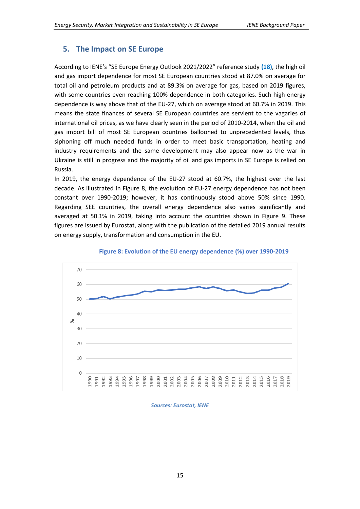## <span id="page-14-0"></span>**5. The Impact on SE Europe**

According to IENE's "SE Europe Energy Outlook 2021/2022" reference study **(18)**, the high oil and gas import dependence for most SE European countries stood at 87.0% on average for total oil and petroleum products and at 89.3% on average for gas, based on 2019 figures, with some countries even reaching 100% dependence in both categories. Such high energy dependence is way above that of the EU-27, which on average stood at 60.7% in 2019. This means the state finances of several SE European countries are servient to the vagaries of international oil prices, as we have clearly seen in the period of 2010-2014, when the oil and gas import bill of most SE European countries ballooned to unprecedented levels, thus siphoning off much needed funds in order to meet basic transportation, heating and industry requirements and the same development may also appear now as the war in Ukraine is still in progress and the majority of oil and gas imports in SE Europe is relied on Russia.

In 2019, the energy dependence of the EU-27 stood at 60.7%, the highest over the last decade. As illustrated in Figure 8, the evolution of EU-27 energy dependence has not been constant over 1990-2019; however, it has continuously stood above 50% since 1990. Regarding SEE countries, the overall energy dependence also varies significantly and averaged at 50.1% in 2019, taking into account the countries shown in Figure 9. These figures are issued by Eurostat, along with the publication of the detailed 2019 annual results on energy supply, transformation and consumption in the EU.



**Figure 8: Evolution of the EU energy dependence (%) over 1990-2019**

#### *Sources: Eurostat, IENE*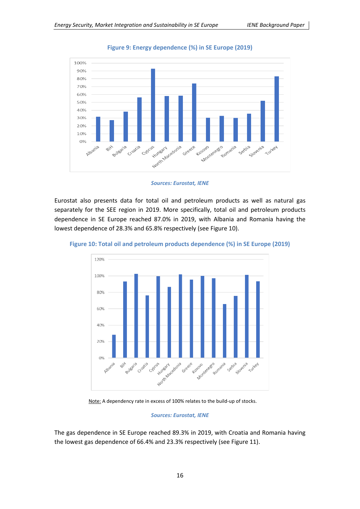

**Figure 9: Energy dependence (%) in SE Europe (2019)**



Eurostat also presents data for total oil and petroleum products as well as natural gas separately for the SEE region in 2019. More specifically, total oil and petroleum products dependence in SE Europe reached 87.0% in 2019, with Albania and Romania having the lowest dependence of 28.3% and 65.8% respectively (see Figure 10).





Note: A dependency rate in excess of 100% relates to the build-up of stocks.

#### *Sources: Eurostat, IENE*

The gas dependence in SE Europe reached 89.3% in 2019, with Croatia and Romania having the lowest gas dependence of 66.4% and 23.3% respectively (see Figure 11).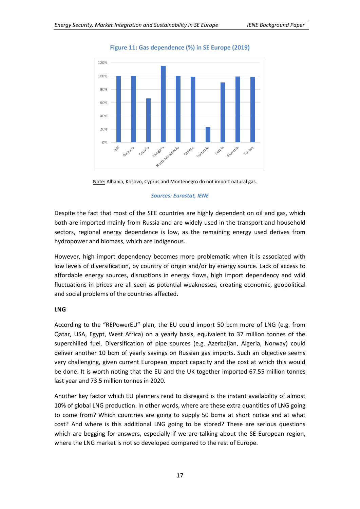

**Figure 11: Gas dependence (%) in SE Europe (2019)**



#### *Sources: Eurostat, IENE*

Despite the fact that most of the SEE countries are highly dependent on oil and gas, which both are imported mainly from Russia and are widely used in the transport and household sectors, regional energy dependence is low, as the remaining energy used derives from hydropower and biomass, which are indigenous.

However, high import dependency becomes more problematic when it is associated with low levels of diversification, by country of origin and/or by energy source. Lack of access to affordable energy sources, disruptions in energy flows, high import dependency and wild fluctuations in prices are all seen as potential weaknesses, creating economic, geopolitical and social problems of the countries affected.

#### **LNG**

According to the "REPowerEU" plan, the EU could import 50 bcm more of LNG (e.g. from Qatar, USA, Egypt, West Africa) on a yearly basis, equivalent to 37 million tonnes of the superchilled fuel. Diversification of pipe sources (e.g. Azerbaijan, Algeria, Norway) could deliver another 10 bcm of yearly savings on Russian gas imports. Such an objective seems very challenging, given current European import capacity and the cost at which this would be done. It is worth noting that the EU and the UK together imported 67.55 million tonnes last year and 73.5 million tonnes in 2020.

Another key factor which EU planners rend to disregard is the instant availability of almost 10% of global LNG production. In other words, where are these extra quantities of LNG going to come from? Which countries are going to supply 50 bcma at short notice and at what cost? And where is this additional LNG going to be stored? These are serious questions which are begging for answers, especially if we are talking about the SE European region, where the LNG market is not so developed compared to the rest of Europe.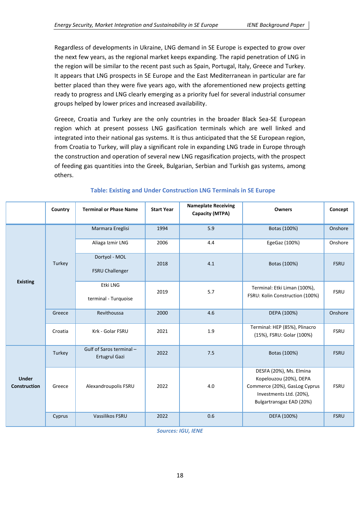Regardless of developments in Ukraine, LNG demand in SE Europe is expected to grow over the next few years, as the regional market keeps expanding. The rapid penetration of LNG in the region will be similar to the recent past such as Spain, Portugal, Italy, Greece and Turkey. It appears that LNG prospects in SE Europe and the East Mediterranean in particular are far better placed than they were five years ago, with the aforementioned new projects getting ready to progress and LNG clearly emerging as a priority fuel for several industrial consumer groups helped by lower prices and increased availability.

Greece, Croatia and Turkey are the only countries in the broader Black Sea-SE European region which at present possess LNG gasification terminals which are well linked and integrated into their national gas systems. It is thus anticipated that the SE European region, from Croatia to Turkey, will play a significant role in expanding LNG trade in Europe through the construction and operation of several new LNG regasification projects, with the prospect of feeding gas quantities into the Greek, Bulgarian, Serbian and Turkish gas systems, among others.

|                              | Country | <b>Terminal or Phase Name</b>                    | <b>Start Year</b> | <b>Nameplate Receiving</b><br>Capacity (MTPA) | <b>Owners</b>                                                                                                                             | Concept     |
|------------------------------|---------|--------------------------------------------------|-------------------|-----------------------------------------------|-------------------------------------------------------------------------------------------------------------------------------------------|-------------|
|                              |         | Marmara Ereglisi                                 | 1994              | 5.9                                           | Botas (100%)                                                                                                                              | Onshore     |
|                              |         | Aliaga Izmir LNG                                 | 2006              | 4.4                                           | EgeGaz (100%)                                                                                                                             | Onshore     |
|                              | Turkey  | Dortyol - MOL<br><b>FSRU Challenger</b>          | 2018              | 4.1                                           | Botas (100%)                                                                                                                              | <b>FSRU</b> |
| <b>Existing</b>              |         | Etki LNG<br>terminal - Turquoise                 | 2019              | 5.7                                           | Terminal: Etki Liman (100%),<br>FSRU: Kolin Construction (100%)                                                                           | <b>FSRU</b> |
|                              | Greece  | Revithoussa                                      | 2000              | 4.6                                           | DEPA (100%)                                                                                                                               | Onshore     |
|                              | Croatia | Krk - Golar FSRU                                 | 2021              | 1.9                                           | Terminal: HEP (85%), Plinacro<br>(15%), FSRU: Golar (100%)                                                                                | <b>FSRU</b> |
|                              | Turkey  | Gulf of Saros terminal -<br><b>Ertugrul Gazi</b> | 2022              | 7.5                                           | Botas (100%)                                                                                                                              | <b>FSRU</b> |
| <b>Under</b><br>Construction | Greece  | Alexandroupolis FSRU                             | 2022              | 4.0                                           | DESFA (20%), Ms. Elmina<br>Kopelouzou (20%), DEPA<br>Commerce (20%), GasLog Cyprus<br>Investments Ltd. (20%),<br>Bulgartransgaz EAD (20%) | <b>FSRU</b> |
|                              | Cyprus  | Vassilikos FSRU                                  | 2022              | 0.6                                           | DEFA (100%)                                                                                                                               | <b>FSRU</b> |

#### **Table: Existing and Under Construction LNG Terminals in SE Europe**

*Sources: IGU, IENE*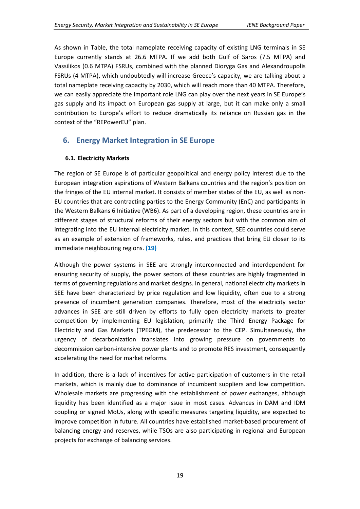As shown in Table, the total nameplate receiving capacity of existing LNG terminals in SE Europe currently stands at 26.6 MTPA. If we add both Gulf of Saros (7.5 MTPA) and Vassilikos (0.6 MTPA) FSRUs, combined with the planned Dioryga Gas and Alexandroupolis FSRUs (4 MTPA), which undoubtedly will increase Greece's capacity, we are talking about a total nameplate receiving capacity by 2030, which will reach more than 40 MTPA. Therefore, we can easily appreciate the important role LNG can play over the next years in SE Europe's gas supply and its impact on European gas supply at large, but it can make only a small contribution to Europe's effort to reduce dramatically its reliance on Russian gas in the context of the "REPowerEU" plan.

## <span id="page-18-0"></span>**6. Energy Market Integration in SE Europe**

## **6.1. Electricity Markets**

The region of SE Europe is of particular geopolitical and energy policy interest due to the European integration aspirations of Western Balkans countries and the region's position on the fringes of the EU internal market. It consists of member states of the EU, as well as non-EU countries that are contracting parties to the Energy Community (EnC) and participants in the Western Balkans 6 Initiative (WB6). As part of a developing region, these countries are in different stages of structural reforms of their energy sectors but with the common aim of integrating into the EU internal electricity market. In this context, SEE countries could serve as an example of extension of frameworks, rules, and practices that bring EU closer to its immediate neighbouring regions. **(19)**

Although the power systems in SEE are strongly interconnected and interdependent for ensuring security of supply, the power sectors of these countries are highly fragmented in terms of governing regulations and market designs. In general, national electricity markets in SEE have been characterized by price regulation and low liquidity, often due to a strong presence of incumbent generation companies. Therefore, most of the electricity sector advances in SEE are still driven by efforts to fully open electricity markets to greater competition by implementing EU legislation, primarily the Third Energy Package for Electricity and Gas Markets (TPEGM), the predecessor to the CEP. Simultaneously, the urgency of decarbonization translates into growing pressure on governments to decommission carbon-intensive power plants and to promote RES investment, consequently accelerating the need for market reforms.

In addition, there is a lack of incentives for active participation of customers in the retail markets, which is mainly due to dominance of incumbent suppliers and low competition. Wholesale markets are progressing with the establishment of power exchanges, although liquidity has been identified as a major issue in most cases. Advances in DAM and IDM coupling or signed MoUs, along with specific measures targeting liquidity, are expected to improve competition in future. All countries have established market-based procurement of balancing energy and reserves, while TSOs are also participating in regional and European projects for exchange of balancing services.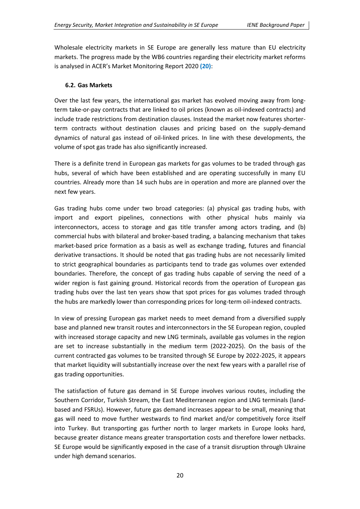Wholesale electricity markets in SE Europe are generally less mature than EU electricity markets. The progress made by the WB6 countries regarding their electricity market reforms is analysed in ACER's Market Monitoring Report 2020 **(20)**:

#### **6.2. Gas Markets**

Over the last few years, the international gas market has evolved moving away from longterm take-or-pay contracts that are linked to oil prices (known as oil-indexed contracts) and include trade restrictions from destination clauses. Instead the market now features shorterterm contracts without destination clauses and pricing based on the supply-demand dynamics of natural gas instead of oil-linked prices. In line with these developments, the volume of spot gas trade has also significantly increased.

There is a definite trend in European gas markets for gas volumes to be traded through gas hubs, several of which have been established and are operating successfully in many EU countries. Already more than 14 such hubs are in operation and more are planned over the next few years.

Gas trading hubs come under two broad categories: (a) physical gas trading hubs, with import and export pipelines, connections with other physical hubs mainly via interconnectors, access to storage and gas title transfer among actors trading, and (b) commercial hubs with bilateral and broker-based trading, a balancing mechanism that takes market-based price formation as a basis as well as exchange trading, futures and financial derivative transactions. It should be noted that gas trading hubs are not necessarily limited to strict geographical boundaries as participants tend to trade gas volumes over extended boundaries. Therefore, the concept of gas trading hubs capable of serving the need of a wider region is fast gaining ground. Historical records from the operation of European gas trading hubs over the last ten years show that spot prices for gas volumes traded through the hubs are markedly lower than corresponding prices for long-term oil-indexed contracts.

In view of pressing European gas market needs to meet demand from a diversified supply base and planned new transit routes and interconnectors in the SE European region, coupled with increased storage capacity and new LNG terminals, available gas volumes in the region are set to increase substantially in the medium term (2022-2025). On the basis of the current contracted gas volumes to be transited through SE Europe by 2022-2025, it appears that market liquidity will substantially increase over the next few years with a parallel rise of gas trading opportunities.

The satisfaction of future gas demand in SE Europe involves various routes, including the Southern Corridor, Turkish Stream, the East Mediterranean region and LNG terminals (landbased and FSRUs). However, future gas demand increases appear to be small, meaning that gas will need to move further westwards to find market and/or competitively force itself into Turkey. But transporting gas further north to larger markets in Europe looks hard, because greater distance means greater transportation costs and therefore lower netbacks. SE Europe would be significantly exposed in the case of a transit disruption through Ukraine under high demand scenarios.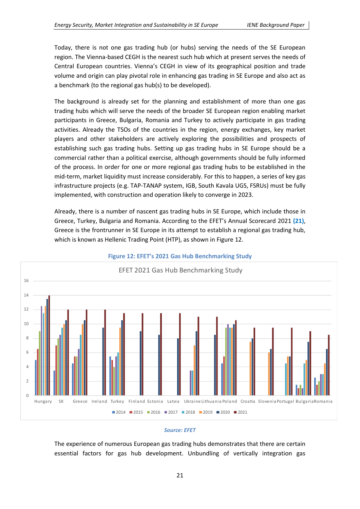Today, there is not one gas trading hub (or hubs) serving the needs of the SE European region. The Vienna-based CEGH is the nearest such hub which at present serves the needs of Central European countries. Vienna's CEGH in view of its geographical position and trade volume and origin can play pivotal role in enhancing gas trading in SE Europe and also act as a benchmark (to the regional gas hub(s) to be developed).

The background is already set for the planning and establishment of more than one gas trading hubs which will serve the needs of the broader SE European region enabling market participants in Greece, Bulgaria, Romania and Turkey to actively participate in gas trading activities. Already the TSOs of the countries in the region, energy exchanges, key market players and other stakeholders are actively exploring the possibilities and prospects of establishing such gas trading hubs. Setting up gas trading hubs in SE Europe should be a commercial rather than a political exercise, although governments should be fully informed of the process. In order for one or more regional gas trading hubs to be established in the mid-term, market liquidity must increase considerably. For this to happen, a series of key gas infrastructure projects (e.g. TAP-TANAP system, IGB, South Kavala UGS, FSRUs) must be fully implemented, with construction and operation likely to converge in 2023.

Already, there is a number of nascent gas trading hubs in SE Europe, which include those in Greece, Turkey, Bulgaria and Romania. According to the EFET's Annual Scorecard 2021 **(21)**, Greece is the frontrunner in SE Europe in its attempt to establish a regional gas trading hub, which is known as Hellenic Trading Point (HTP), as shown in Figure 12.



#### **Figure 12: EFET's 2021 Gas Hub Benchmarking Study**

#### *Source: EFET*

The experience of numerous European gas trading hubs demonstrates that there are certain essential factors for gas hub development. Unbundling of vertically integration gas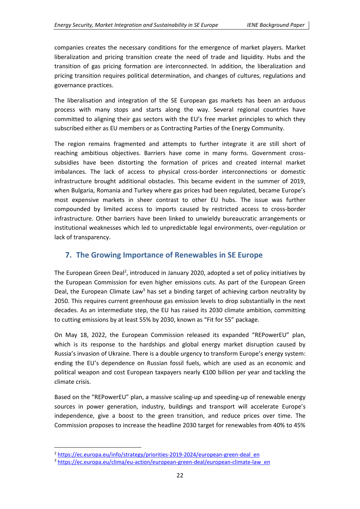companies creates the necessary conditions for the emergence of market players. Market liberalization and pricing transition create the need of trade and liquidity. Hubs and the transition of gas pricing formation are interconnected. In addition, the liberalization and pricing transition requires political determination, and changes of cultures, regulations and governance practices.

The liberalisation and integration of the SE European gas markets has been an arduous process with many stops and starts along the way. Several regional countries have committed to aligning their gas sectors with the EU's free market principles to which they subscribed either as EU members or as Contracting Parties of the Energy Community.

The region remains fragmented and attempts to further integrate it are still short of reaching ambitious objectives. Barriers have come in many forms. Government crosssubsidies have been distorting the formation of prices and created internal market imbalances. The lack of access to physical cross-border interconnections or domestic infrastructure brought additional obstacles. This became evident in the summer of 2019, when Bulgaria, Romania and Turkey where gas prices had been regulated, became Europe's most expensive markets in sheer contrast to other EU hubs. The issue was further compounded by limited access to imports caused by restricted access to cross-border infrastructure. Other barriers have been linked to unwieldy bureaucratic arrangements or institutional weaknesses which led to unpredictable legal environments, over-regulation or lack of transparency.

## <span id="page-21-0"></span>**7. The Growing Importance of Renewables in SE Europe**

The European Green Deal<sup>2</sup>, introduced in January 2020, adopted a set of policy initiatives by the European Commission for even higher emissions cuts. As part of the European Green Deal, the European Climate Law<sup>3</sup> has set a binding target of achieving carbon neutrality by 2050. This requires current greenhouse gas emission levels to drop substantially in the next decades. As an intermediate step, the EU has raised its 2030 climate ambition, committing to cutting emissions by at least 55% by 2030, known as "Fit for 55" package.

On May 18, 2022, the European Commission released its expanded "REPowerEU" plan, which is its response to the hardships and global energy market disruption caused by Russia's invasion of Ukraine. There is a double urgency to transform Europe's energy system: ending the EU's dependence on Russian fossil fuels, which are used as an economic and political weapon and cost European taxpayers nearly €100 billion per year and tackling the climate crisis.

Based on the "REPowerEU" plan, a massive scaling-up and speeding-up of renewable energy sources in power generation, industry, buildings and transport will accelerate Europe's independence, give a boost to the green transition, and reduce prices over time. The Commission proposes to increase the headline 2030 target for renewables from 40% to 45%

<sup>&</sup>lt;sup>2</sup> [https://ec.europa.eu/info/strategy/priorities-2019-2024/european-green-deal\\_en](https://ec.europa.eu/info/strategy/priorities-2019-2024/european-green-deal_en)

<sup>&</sup>lt;sup>3</sup> [https://ec.europa.eu/clima/eu-action/european-green-deal/european-climate-law\\_en](https://ec.europa.eu/clima/eu-action/european-green-deal/european-climate-law_en)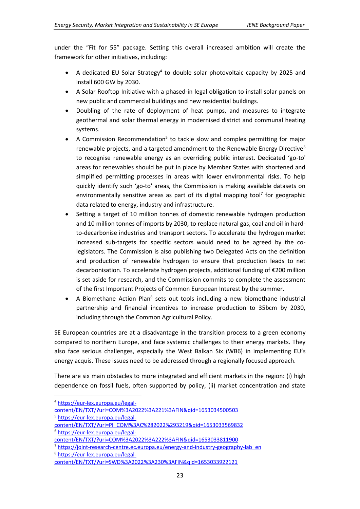under the "Fit for 55" package. Setting this overall increased ambition will create the framework for other initiatives, including:

- A dedicated EU Solar Strategy<sup>4</sup> to double solar photovoltaic capacity by 2025 and install 600 GW by 2030.
- A Solar Rooftop Initiative with a phased-in legal obligation to install solar panels on new public and commercial buildings and new residential buildings.
- Doubling of the rate of deployment of heat pumps, and measures to integrate geothermal and solar thermal energy in modernised district and communal heating systems.
- A Commission Recommendation<sup>5</sup> to tackle slow and complex permitting for major renewable projects, and a targeted amendment to the Renewable Energy Directive<sup>6</sup> to recognise renewable energy as an overriding public interest. Dedicated 'go-to' areas for renewables should be put in place by Member States with shortened and simplified permitting processes in areas with lower environmental risks. To help quickly identify such 'go-to' areas, the Commission is making available datasets on environmentally sensitive areas as part of its digital mapping tool<sup>7</sup> for geographic data related to energy, industry and infrastructure.
- Setting a target of 10 million tonnes of domestic renewable hydrogen production and 10 million tonnes of imports by 2030, to replace natural gas, coal and oil in hardto-decarbonise industries and transport sectors. To accelerate the hydrogen market increased sub-targets for specific sectors would need to be agreed by the colegislators. The Commission is also publishing two Delegated Acts on the definition and production of renewable hydrogen to ensure that production leads to net decarbonisation. To accelerate hydrogen projects, additional funding of €200 million is set aside for research, and the Commission commits to complete the assessment of the first Important Projects of Common European Interest by the summer.
- A Biomethane Action Plan<sup>8</sup> sets out tools including a new biomethane industrial partnership and financial incentives to increase production to 35bcm by 2030, including through the Common Agricultural Policy.

SE European countries are at a disadvantage in the transition process to a green economy compared to northern Europe, and face systemic challenges to their energy markets. They also face serious challenges, especially the West Balkan Six (WB6) in implementing EU's energy acquis. These issues need to be addressed through a regionally focused approach.

There are six main obstacles to more integrated and efficient markets in the region: (i) high dependence on fossil fuels, often supported by policy, (ii) market concentration and state

<sup>8</sup> [https://eur-lex.europa.eu/legal-](https://eur-lex.europa.eu/legal-content/EN/TXT/?uri=SWD%3A2022%3A230%3AFIN&qid=1653033922121)

<sup>4</sup> [https://eur-lex.europa.eu/legal-](https://eur-lex.europa.eu/legal-content/EN/TXT/?uri=COM%3A2022%3A221%3AFIN&qid=1653034500503)

[content/EN/TXT/?uri=COM%3A2022%3A221%3AFIN&qid=1653034500503](https://eur-lex.europa.eu/legal-content/EN/TXT/?uri=COM%3A2022%3A221%3AFIN&qid=1653034500503)

<sup>5</sup> [https://eur-lex.europa.eu/legal-](https://eur-lex.europa.eu/legal-content/EN/TXT/?uri=PI_COM%3AC%282022%293219&qid=1653033569832)

[content/EN/TXT/?uri=PI\\_COM%3AC%282022%293219&qid=1653033569832](https://eur-lex.europa.eu/legal-content/EN/TXT/?uri=PI_COM%3AC%282022%293219&qid=1653033569832) <sup>6</sup> [https://eur-lex.europa.eu/legal-](https://eur-lex.europa.eu/legal-content/EN/TXT/?uri=COM%3A2022%3A222%3AFIN&qid=1653033811900)

[content/EN/TXT/?uri=COM%3A2022%3A222%3AFIN&qid=1653033811900](https://eur-lex.europa.eu/legal-content/EN/TXT/?uri=COM%3A2022%3A222%3AFIN&qid=1653033811900)

<sup>&</sup>lt;sup>7</sup> [https://joint-research-centre.ec.europa.eu/energy-and-industry-geography-lab\\_en](https://joint-research-centre.ec.europa.eu/energy-and-industry-geography-lab_en)

[content/EN/TXT/?uri=SWD%3A2022%3A230%3AFIN&qid=1653033922121](https://eur-lex.europa.eu/legal-content/EN/TXT/?uri=SWD%3A2022%3A230%3AFIN&qid=1653033922121)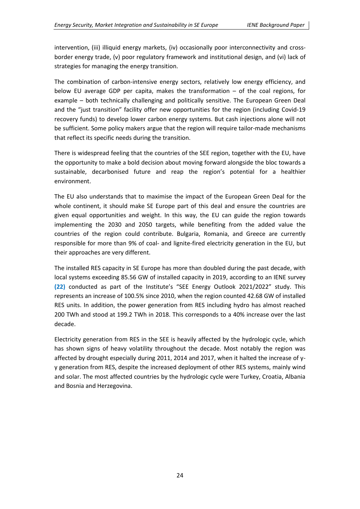intervention, (iii) illiquid energy markets, (iv) occasionally poor interconnectivity and crossborder energy trade, (v) poor regulatory framework and institutional design, and (vi) lack of strategies for managing the energy transition.

The combination of carbon-intensive energy sectors, relatively low energy efficiency, and below EU average GDP per capita, makes the transformation – of the coal regions, for example – both technically challenging and politically sensitive. The European Green Deal and the "just transition" facility offer new opportunities for the region (including Covid-19 recovery funds) to develop lower carbon energy systems. But cash injections alone will not be sufficient. Some policy makers argue that the region will require tailor-made mechanisms that reflect its specific needs during the transition.

There is widespread feeling that the countries of the SEE region, together with the EU, have the opportunity to make a bold decision about moving forward alongside the bloc towards a sustainable, decarbonised future and reap the region's potential for a healthier environment.

The EU also understands that to maximise the impact of the European Green Deal for the whole continent, it should make SE Europe part of this deal and ensure the countries are given equal opportunities and weight. In this way, the EU can guide the region towards implementing the 2030 and 2050 targets, while benefiting from the added value the countries of the region could contribute. Bulgaria, Romania, and Greece are currently responsible for more than 9% of coal- and lignite-fired electricity generation in the EU, but their approaches are very different.

The installed RES capacity in SE Europe has more than doubled during the past decade, with local systems exceeding 85.56 GW of installed capacity in 2019, according to an IENE survey **(22)** conducted as part of the Institute's "SEE Energy Outlook 2021/2022" study. This represents an increase of 100.5% since 2010, when the region counted 42.68 GW of installed RES units. In addition, the power generation from RES including hydro has almost reached 200 TWh and stood at 199.2 TWh in 2018. This corresponds to a 40% increase over the last decade.

Electricity generation from RES in the SEE is heavily affected by the hydrologic cycle, which has shown signs of heavy volatility throughout the decade. Most notably the region was affected by drought especially during 2011, 2014 and 2017, when it halted the increase of yy generation from RES, despite the increased deployment of other RES systems, mainly wind and solar. The most affected countries by the hydrologic cycle were Turkey, Croatia, Albania and Bosnia and Herzegovina.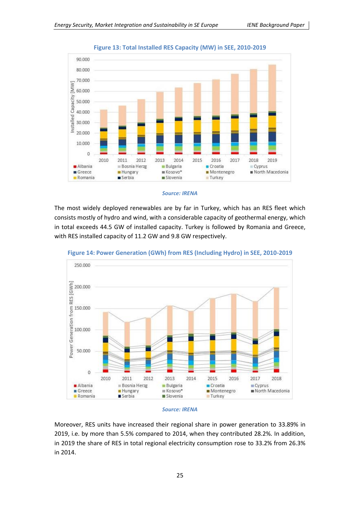

**Figure 13: Total Installed RES Capacity (MW) in SEE, 2010-2019**

#### *Source: IRENA*

The most widely deployed renewables are by far in Turkey, which has an RES fleet which consists mostly of hydro and wind, with a considerable capacity of geothermal energy, which in total exceeds 44.5 GW of installed capacity. Turkey is followed by Romania and Greece, with RES installed capacity of 11.2 GW and 9.8 GW respectively.



**Figure 14: Power Generation (GWh) from RES (Including Hydro) in SEE, 2010-2019**

#### *Source: IRENA*

Moreover, RES units have increased their regional share in power generation to 33.89% in 2019, i.e. by more than 5.5% compared to 2014, when they contributed 28.2%. In addition, in 2019 the share of RES in total regional electricity consumption rose to 33.2% from 26.3% in 2014.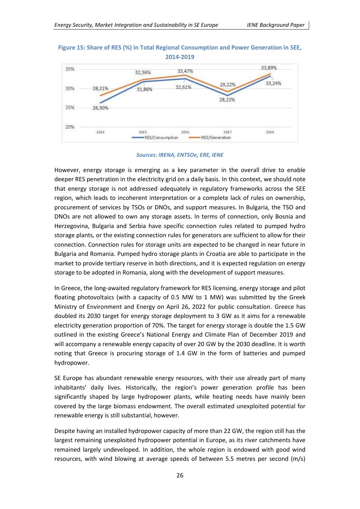#### **Figure 15: Share of RES (%) in Total Regional Consumption and Power Generation in SEE, 2014-2019**



*Sources: IRENA, ENTSOe, ERE, IENE*

However, energy storage is emerging as a key parameter in the overall drive to enable deeper RES penetration in the electricity grid on a daily basis. In this context, we should note that energy storage is not addressed adequately in regulatory frameworks across the SEE region, which leads to incoherent interpretation or a complete lack of rules on ownership, procurement of services by TSOs or DNOs, and support measures. In Bulgaria, the TSO and DNOs are not allowed to own any storage assets. In terms of connection, only Bosnia and Herzegovina, Bulgaria and Serbia have specific connection rules related to pumped hydro storage plants, or the existing connection rules for generators are sufficient to allow for their connection. Connection rules for storage units are expected to be changed in near future in Bulgaria and Romania. Pumped hydro storage plants in Croatia are able to participate in the market to provide tertiary reserve in both directions, and it is expected regulation on energy storage to be adopted in Romania, along with the development of support measures.

In Greece, the long-awaited regulatory framework for RES licensing, energy storage and pilot floating photovoltaics (with a capacity of 0.5 MW to 1 MW) was submitted by the Greek Ministry of Environment and Energy on April 26, 2022 for public consultation. Greece has doubled its 2030 target for energy storage deployment to 3 GW as it aims for a renewable electricity generation proportion of 70%. The target for energy storage is double the 1.5 GW outlined in the existing Greece's National Energy and Climate Plan of December 2019 and will accompany a renewable energy capacity of over 20 GW by the 2030 deadline. It is worth noting that Greece is procuring storage of 1.4 GW in the form of batteries and pumped hydropower.

SE Europe has abundant renewable energy resources, with their use already part of many inhabitants' daily lives. Historically, the region's power generation profile has been significantly shaped by large hydropower plants, while heating needs have mainly been covered by the large biomass endowment. The overall estimated unexploited potential for renewable energy is still substantial, however.

Despite having an installed hydropower capacity of more than 22 GW, the region still has the largest remaining unexploited hydropower potential in Europe, as its river catchments have remained largely undeveloped. In addition, the whole region is endowed with good wind resources, with wind blowing at average speeds of between 5.5 metres per second (m/s)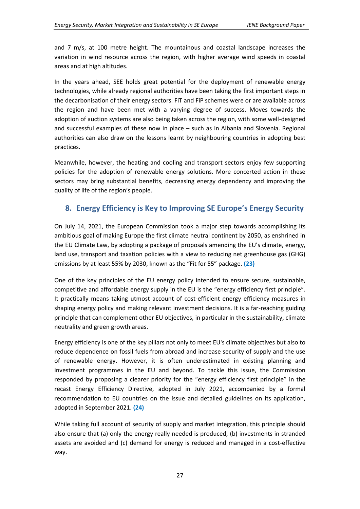and 7 m/s, at 100 metre height. The mountainous and coastal landscape increases the variation in wind resource across the region, with higher average wind speeds in coastal areas and at high altitudes.

In the years ahead, SEE holds great potential for the deployment of renewable energy technologies, while already regional authorities have been taking the first important steps in the decarbonisation of their energy sectors. FiT and FiP schemes were or are available across the region and have been met with a varying degree of success. Moves towards the adoption of auction systems are also being taken across the region, with some well-designed and successful examples of these now in place – such as in Albania and Slovenia. Regional authorities can also draw on the lessons learnt by neighbouring countries in adopting best practices.

Meanwhile, however, the heating and cooling and transport sectors enjoy few supporting policies for the adoption of renewable energy solutions. More concerted action in these sectors may bring substantial benefits, decreasing energy dependency and improving the quality of life of the region's people.

## <span id="page-26-0"></span>**8. Energy Efficiency is Key to Improving SE Europe's Energy Security**

On July 14, 2021, the European Commission took a major step towards accomplishing its ambitious goal of making Europe the first climate neutral continent by 2050, as enshrined in the EU Climate Law, by adopting a package of proposals amending the EU's climate, energy, land use, transport and taxation policies with a view to reducing net greenhouse gas (GHG) emissions by at least 55% by 2030, known as the "Fit for 55" package. **(23)**

One of the key principles of the EU energy policy intended to ensure secure, sustainable, competitive and affordable energy supply in the EU is the "energy efficiency first principle". It practically means taking utmost account of cost-efficient energy efficiency measures in shaping energy policy and making relevant investment decisions. It is a far-reaching guiding principle that can complement other EU objectives, in particular in the sustainability, climate neutrality and green growth areas.

Energy efficiency is one of the key pillars not only to meet EU's climate objectives but also to reduce dependence on fossil fuels from abroad and increase security of supply and the use of renewable energy. However, it is often underestimated in existing planning and investment programmes in the EU and beyond. To tackle this issue, the Commission responded by proposing a clearer priority for the "energy efficiency first principle" in the recast Energy Efficiency Directive, adopted in July 2021, accompanied by a formal recommendation to EU countries on the issue and detailed guidelines on its application, adopted in September 2021. **(24)**

While taking full account of security of supply and market integration, this principle should also ensure that (a) only the energy really needed is produced, (b) investments in stranded assets are avoided and (c) demand for energy is reduced and managed in a cost-effective way.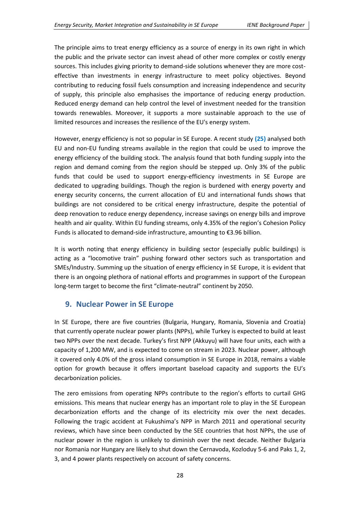The principle aims to treat energy efficiency as a source of energy in its own right in which the public and the private sector can invest ahead of other more complex or costly energy sources. This includes giving priority to demand-side solutions whenever they are more costeffective than investments in energy infrastructure to meet policy objectives. Beyond contributing to reducing fossil fuels consumption and increasing independence and security of supply, this principle also emphasises the importance of reducing energy production. Reduced energy demand can help control the level of investment needed for the transition towards renewables. Moreover, it supports a more sustainable approach to the use of limited resources and increases the resilience of the EU's energy system.

However, energy efficiency is not so popular in SE Europe. A recent study **(25)** analysed both EU and non-EU funding streams available in the region that could be used to improve the energy efficiency of the building stock. The analysis found that both funding supply into the region and demand coming from the region should be stepped up. Only 3% of the public funds that could be used to support energy-efficiency investments in SE Europe are dedicated to upgrading buildings. Though the region is burdened with energy poverty and energy security concerns, the current allocation of EU and international funds shows that buildings are not considered to be critical energy infrastructure, despite the potential of deep renovation to reduce energy dependency, increase savings on energy bills and improve health and air quality. Within EU funding streams, only 4.35% of the region's Cohesion Policy Funds is allocated to demand-side infrastructure, amounting to €3.96 billion.

It is worth noting that energy efficiency in building sector (especially public buildings) is acting as a "locomotive train" pushing forward other sectors such as transportation and SMEs/Industry. Summing up the situation of energy efficiency in SE Europe, it is evident that there is an ongoing plethora of national efforts and programmes in support of the European long-term target to become the first "climate-neutral" continent by 2050.

## <span id="page-27-0"></span>**9. Nuclear Power in SE Europe**

In SE Europe, there are five countries (Bulgaria, Hungary, Romania, Slovenia and Croatia) that currently operate nuclear power plants (NPPs), while Turkey is expected to build at least two NPPs over the next decade. Turkey's first NPP (Akkuyu) will have four units, each with a capacity of 1,200 MW, and is expected to come on stream in 2023. Nuclear power, although it covered only 4.0% of the gross inland consumption in SE Europe in 2018, remains a viable option for growth because it offers important baseload capacity and supports the EU's decarbonization policies.

The zero emissions from operating NPPs contribute to the region's efforts to curtail GHG emissions. This means that nuclear energy has an important role to play in the SE European decarbonization efforts and the change of its electricity mix over the next decades. Following the tragic accident at Fukushima's NPP in March 2011 and operational security reviews, which have since been conducted by the SEE countries that host NPPs, the use of nuclear power in the region is unlikely to diminish over the next decade. Neither Bulgaria nor Romania nor Hungary are likely to shut down the Cernavoda, Kozloduy 5-6 and Paks 1, 2, 3, and 4 power plants respectively on account of safety concerns.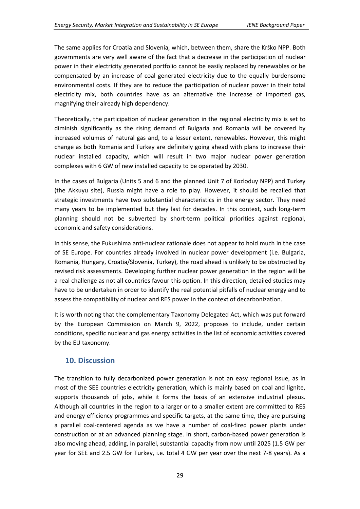The same applies for Croatia and Slovenia, which, between them, share the Krško NPP. Both governments are very well aware of the fact that a decrease in the participation of nuclear power in their electricity generated portfolio cannot be easily replaced by renewables or be compensated by an increase of coal generated electricity due to the equally burdensome environmental costs. If they are to reduce the participation of nuclear power in their total electricity mix, both countries have as an alternative the increase of imported gas, magnifying their already high dependency.

Theoretically, the participation of nuclear generation in the regional electricity mix is set to diminish significantly as the rising demand of Bulgaria and Romania will be covered by increased volumes of natural gas and, to a lesser extent, renewables. However, this might change as both Romania and Turkey are definitely going ahead with plans to increase their nuclear installed capacity, which will result in two major nuclear power generation complexes with 6 GW of new installed capacity to be operated by 2030.

In the cases of Bulgaria (Units 5 and 6 and the planned Unit 7 of Kozloduy NPP) and Turkey (the Akkuyu site), Russia might have a role to play. However, it should be recalled that strategic investments have two substantial characteristics in the energy sector. They need many years to be implemented but they last for decades. In this context, such long-term planning should not be subverted by short-term political priorities against regional, economic and safety considerations.

In this sense, the Fukushima anti-nuclear rationale does not appear to hold much in the case of SE Europe. For countries already involved in nuclear power development (i.e. Bulgaria, Romania, Hungary, Croatia/Slovenia, Turkey), the road ahead is unlikely to be obstructed by revised risk assessments. Developing further nuclear power generation in the region will be a real challenge as not all countries favour this option. In this direction, detailed studies may have to be undertaken in order to identify the real potential pitfalls of nuclear energy and to assess the compatibility of nuclear and RES power in the context of decarbonization.

It is worth noting that the complementary Taxonomy Delegated Act, which was put forward by the European Commission on March 9, 2022, proposes to include, under certain conditions, specific nuclear and gas energy activities in the list of economic activities covered by the EU taxonomy.

## <span id="page-28-0"></span>**10. Discussion**

The transition to fully decarbonized power generation is not an easy regional issue, as in most of the SEE countries electricity generation, which is mainly based on coal and lignite, supports thousands of jobs, while it forms the basis of an extensive industrial plexus. Although all countries in the region to a larger or to a smaller extent are committed to RES and energy efficiency programmes and specific targets, at the same time, they are pursuing a parallel coal-centered agenda as we have a number of coal-fired power plants under construction or at an advanced planning stage. In short, carbon-based power generation is also moving ahead, adding, in parallel, substantial capacity from now until 2025 (1.5 GW per year for SEE and 2.5 GW for Turkey, i.e. total 4 GW per year over the next 7-8 years). As a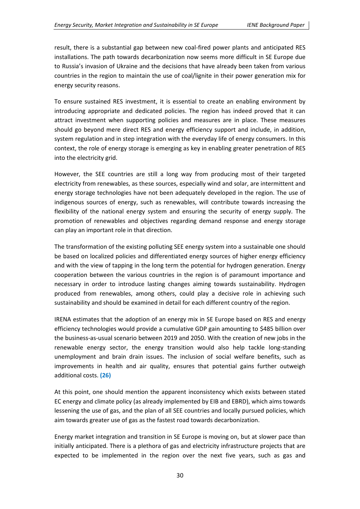result, there is a substantial gap between new coal-fired power plants and anticipated RES installations. The path towards decarbonization now seems more difficult in SE Europe due to Russia's invasion of Ukraine and the decisions that have already been taken from various countries in the region to maintain the use of coal/lignite in their power generation mix for energy security reasons.

To ensure sustained RES investment, it is essential to create an enabling environment by introducing appropriate and dedicated policies. The region has indeed proved that it can attract investment when supporting policies and measures are in place. These measures should go beyond mere direct RES and energy efficiency support and include, in addition, system regulation and in step integration with the everyday life of energy consumers. In this context, the role of energy storage is emerging as key in enabling greater penetration of RES into the electricity grid.

However, the SEE countries are still a long way from producing most of their targeted electricity from renewables, as these sources, especially wind and solar, are intermittent and energy storage technologies have not been adequately developed in the region. The use of indigenous sources of energy, such as renewables, will contribute towards increasing the flexibility of the national energy system and ensuring the security of energy supply. The promotion of renewables and objectives regarding demand response and energy storage can play an important role in that direction.

The transformation of the existing polluting SEE energy system into a sustainable one should be based on localized policies and differentiated energy sources of higher energy efficiency and with the view of tapping in the long term the potential for hydrogen generation. Energy cooperation between the various countries in the region is of paramount importance and necessary in order to introduce lasting changes aiming towards sustainability. Hydrogen produced from renewables, among others, could play a decisive role in achieving such sustainability and should be examined in detail for each different country of the region.

IRENA estimates that the adoption of an energy mix in SE Europe based on RES and energy efficiency technologies would provide a cumulative GDP gain amounting to \$485 billion over the business-as-usual scenario between 2019 and 2050. With the creation of new jobs in the renewable energy sector, the energy transition would also help tackle long-standing unemployment and brain drain issues. The inclusion of social welfare benefits, such as improvements in health and air quality, ensures that potential gains further outweigh additional costs. **(26)**

At this point, one should mention the apparent inconsistency which exists between stated EC energy and climate policy (as already implemented by EIB and EBRD), which aims towards lessening the use of gas, and the plan of all SEE countries and locally pursued policies, which aim towards greater use of gas as the fastest road towards decarbonization.

Energy market integration and transition in SE Europe is moving on, but at slower pace than initially anticipated. There is a plethora of gas and electricity infrastructure projects that are expected to be implemented in the region over the next five years, such as gas and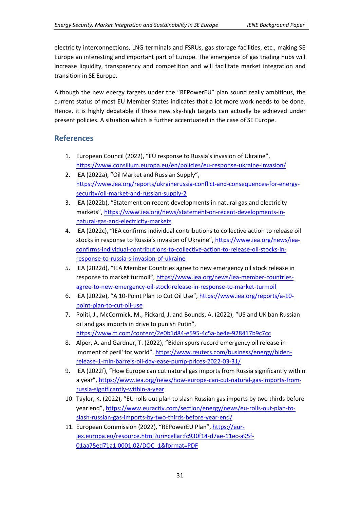electricity interconnections, LNG terminals and FSRUs, gas storage facilities, etc., making SE Europe an interesting and important part of Europe. The emergence of gas trading hubs will increase liquidity, transparency and competition and will facilitate market integration and transition in SE Europe.

Although the new energy targets under the "REPowerEU" plan sound really ambitious, the current status of most EU Member States indicates that a lot more work needs to be done. Hence, it is highly debatable if these new sky-high targets can actually be achieved under present policies. A situation which is further accentuated in the case of SE Europe.

## <span id="page-30-0"></span>**References**

- 1. European Council (2022), "EU response to Russia's invasion of Ukraine", <https://www.consilium.europa.eu/en/policies/eu-response-ukraine-invasion/>
- 2. IEA (2022a), "Oil Market and Russian Supply", [https://www.iea.org/reports/ukrainerussia-conflict-and-consequences-for-energy](https://www.iea.org/reports/ukrainerussia-conflict-and-consequences-for-energy-security/oil-market-and-russian-supply-2)[security/oil-market-and-russian-supply-2](https://www.iea.org/reports/ukrainerussia-conflict-and-consequences-for-energy-security/oil-market-and-russian-supply-2)
- 3. IEA (2022b), "Statement on recent developments in natural gas and electricity markets", [https://www.iea.org/news/statement-on-recent-developments-in](https://www.iea.org/news/statement-on-recent-developments-in-natural-gas-and-electricity-markets)[natural-gas-and-electricity-markets](https://www.iea.org/news/statement-on-recent-developments-in-natural-gas-and-electricity-markets)
- 4. IEA (2022c), "IEA confirms individual contributions to collective action to release oil stocks in response to Russia's invasion of Ukraine", [https://www.iea.org/news/iea](https://www.iea.org/news/iea-confirms-individual-contributions-to-collective-action-to-release-oil-stocks-in-response-to-russia-s-invasion-of-ukraine)[confirms-individual-contributions-to-collective-action-to-release-oil-stocks-in](https://www.iea.org/news/iea-confirms-individual-contributions-to-collective-action-to-release-oil-stocks-in-response-to-russia-s-invasion-of-ukraine)[response-to-russia-s-invasion-of-ukraine](https://www.iea.org/news/iea-confirms-individual-contributions-to-collective-action-to-release-oil-stocks-in-response-to-russia-s-invasion-of-ukraine)
- 5. IEA (2022d), "IEA Member Countries agree to new emergency oil stock release in response to market turmoil", [https://www.iea.org/news/iea-member-countries](https://www.iea.org/news/iea-member-countries-agree-to-new-emergency-oil-stock-release-in-response-to-market-turmoil)[agree-to-new-emergency-oil-stock-release-in-response-to-market-turmoil](https://www.iea.org/news/iea-member-countries-agree-to-new-emergency-oil-stock-release-in-response-to-market-turmoil)
- 6. IEA (2022e), "A 10-Point Plan to Cut Oil Use", [https://www.iea.org/reports/a-10](https://www.iea.org/reports/a-10-point-plan-to-cut-oil-use) [point-plan-to-cut-oil-use](https://www.iea.org/reports/a-10-point-plan-to-cut-oil-use)
- 7. Politi, J., McCormick, M., Pickard, J. and Bounds, A. (2022), "US and UK ban Russian oil and gas imports in drive to punish Putin", <https://www.ft.com/content/2e0b1d84-e595-4c5a-be4e-928417b9c7cc>
- 8. Alper, A. and Gardner, T. (2022), "Biden spurs record emergency oil release in 'moment of peril' for world", [https://www.reuters.com/business/energy/biden](https://www.reuters.com/business/energy/biden-release-1-mln-barrels-oil-day-ease-pump-prices-2022-03-31/)[release-1-mln-barrels-oil-day-ease-pump-prices-2022-03-31/](https://www.reuters.com/business/energy/biden-release-1-mln-barrels-oil-day-ease-pump-prices-2022-03-31/)
- 9. IEA (2022f), "How Europe can cut natural gas imports from Russia significantly within a year", [https://www.iea.org/news/how-europe-can-cut-natural-gas-imports-from](https://www.iea.org/news/how-europe-can-cut-natural-gas-imports-from-russia-significantly-within-a-year)[russia-significantly-within-a-year](https://www.iea.org/news/how-europe-can-cut-natural-gas-imports-from-russia-significantly-within-a-year)
- 10. Taylor, K. (2022), "EU rolls out plan to slash Russian gas imports by two thirds before year end", [https://www.euractiv.com/section/energy/news/eu-rolls-out-plan-to](https://www.euractiv.com/section/energy/news/eu-rolls-out-plan-to-slash-russian-gas-imports-by-two-thirds-before-year-end/)[slash-russian-gas-imports-by-two-thirds-before-year-end/](https://www.euractiv.com/section/energy/news/eu-rolls-out-plan-to-slash-russian-gas-imports-by-two-thirds-before-year-end/)
- 11. European Commission (2022), "REPowerEU Plan", [https://eur](https://eur-lex.europa.eu/resource.html?uri=cellar:fc930f14-d7ae-11ec-a95f-01aa75ed71a1.0001.02/DOC_1&format=PDF)[lex.europa.eu/resource.html?uri=cellar:fc930f14-d7ae-11ec-a95f-](https://eur-lex.europa.eu/resource.html?uri=cellar:fc930f14-d7ae-11ec-a95f-01aa75ed71a1.0001.02/DOC_1&format=PDF)[01aa75ed71a1.0001.02/DOC\\_1&format=PDF](https://eur-lex.europa.eu/resource.html?uri=cellar:fc930f14-d7ae-11ec-a95f-01aa75ed71a1.0001.02/DOC_1&format=PDF)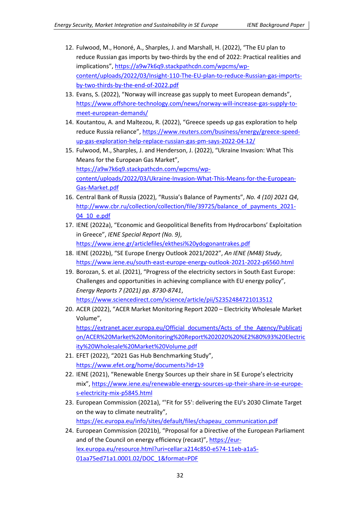- 12. Fulwood, M., Honoré, A., Sharples, J. and Marshall, H. (2022), "The EU plan to reduce Russian gas imports by two-thirds by the end of 2022: Practical realities and implications", [https://a9w7k6q9.stackpathcdn.com/wpcms/wp](https://a9w7k6q9.stackpathcdn.com/wpcms/wp-content/uploads/2022/03/Insight-110-The-EU-plan-to-reduce-Russian-gas-imports-by-two-thirds-by-the-end-of-2022.pdf)[content/uploads/2022/03/Insight-110-The-EU-plan-to-reduce-Russian-gas-imports](https://a9w7k6q9.stackpathcdn.com/wpcms/wp-content/uploads/2022/03/Insight-110-The-EU-plan-to-reduce-Russian-gas-imports-by-two-thirds-by-the-end-of-2022.pdf)[by-two-thirds-by-the-end-of-2022.pdf](https://a9w7k6q9.stackpathcdn.com/wpcms/wp-content/uploads/2022/03/Insight-110-The-EU-plan-to-reduce-Russian-gas-imports-by-two-thirds-by-the-end-of-2022.pdf)
- 13. Evans, S. (2022), "Norway will increase gas supply to meet European demands", [https://www.offshore-technology.com/news/norway-will-increase-gas-supply-to](https://www.offshore-technology.com/news/norway-will-increase-gas-supply-to-meet-european-demands/)[meet-european-demands/](https://www.offshore-technology.com/news/norway-will-increase-gas-supply-to-meet-european-demands/)
- 14. Koutantou, A. and Maltezou, R. (2022), "Greece speeds up gas exploration to help reduce Russia reliance", [https://www.reuters.com/business/energy/greece-speed](https://www.reuters.com/business/energy/greece-speed-up-gas-exploration-help-replace-russian-gas-pm-says-2022-04-12/)[up-gas-exploration-help-replace-russian-gas-pm-says-2022-04-12/](https://www.reuters.com/business/energy/greece-speed-up-gas-exploration-help-replace-russian-gas-pm-says-2022-04-12/)
- 15. Fulwood, M., Sharples, J. and Henderson, J. (2022), "Ukraine Invasion: What This Means for the European Gas Market", [https://a9w7k6q9.stackpathcdn.com/wpcms/wp](https://a9w7k6q9.stackpathcdn.com/wpcms/wp-content/uploads/2022/03/Ukraine-Invasion-What-This-Means-for-the-European-Gas-Market.pdf)[content/uploads/2022/03/Ukraine-Invasion-What-This-Means-for-the-European-](https://a9w7k6q9.stackpathcdn.com/wpcms/wp-content/uploads/2022/03/Ukraine-Invasion-What-This-Means-for-the-European-Gas-Market.pdf)[Gas-Market.pdf](https://a9w7k6q9.stackpathcdn.com/wpcms/wp-content/uploads/2022/03/Ukraine-Invasion-What-This-Means-for-the-European-Gas-Market.pdf)
- 16. Central Bank of Russia (2022), "Russia's Balance of Payments", *No. 4 (10) 2021 Q4*, [http://www.cbr.ru/collection/collection/file/39725/balance\\_of\\_payments\\_2021-](http://www.cbr.ru/collection/collection/file/39725/balance_of_payments_2021-04_10_e.pdf) [04\\_10\\_e.pdf](http://www.cbr.ru/collection/collection/file/39725/balance_of_payments_2021-04_10_e.pdf)
- 17. IENE (2022a), "Economic and Geopolitical Benefits from Hydrocarbons' Exploitation in Greece", *IENE Special Report (No. 9)*, <https://www.iene.gr/articlefiles/ekthesi%20ydogonantrakes.pdf>
- 18. IENE (2022b), "SE Europe Energy Outlook 2021/2022", *An IENE (M48) Study*, <https://www.iene.eu/south-east-europe-energy-outlook-2021-2022-p6560.html>
- 19. Borozan, S. et al. (2021), "Progress of the electricity sectors in South East Europe: Challenges and opportunities in achieving compliance with EU energy policy", *Energy Reports 7 (2021) pp. 8730-8741*, <https://www.sciencedirect.com/science/article/pii/S2352484721013512>
- 20. ACER (2022), "ACER Market Monitoring Report 2020 Electricity Wholesale Market Volume",

[https://extranet.acer.europa.eu/Official\\_documents/Acts\\_of\\_the\\_Agency/Publicati](https://extranet.acer.europa.eu/Official_documents/Acts_of_the_Agency/Publication/ACER%20Market%20Monitoring%20Report%202020%20%E2%80%93%20Electricity%20Wholesale%20Market%20Volume.pdf) [on/ACER%20Market%20Monitoring%20Report%202020%20%E2%80%93%20Electric](https://extranet.acer.europa.eu/Official_documents/Acts_of_the_Agency/Publication/ACER%20Market%20Monitoring%20Report%202020%20%E2%80%93%20Electricity%20Wholesale%20Market%20Volume.pdf) [ity%20Wholesale%20Market%20Volume.pdf](https://extranet.acer.europa.eu/Official_documents/Acts_of_the_Agency/Publication/ACER%20Market%20Monitoring%20Report%202020%20%E2%80%93%20Electricity%20Wholesale%20Market%20Volume.pdf)

- 21. EFET (2022), "2021 Gas Hub Benchmarking Study", <https://www.efet.org/home/documents?id=19>
- 22. IENE (2021), "Renewable Energy Sources up their share in SE Europe's electricity mix", [https://www.iene.eu/renewable-energy-sources-up-their-share-in-se-europe](https://www.iene.eu/renewable-energy-sources-up-their-share-in-se-europe-s-electricity-mix-p5845.html)[s-electricity-mix-p5845.html](https://www.iene.eu/renewable-energy-sources-up-their-share-in-se-europe-s-electricity-mix-p5845.html)
- 23. European Commission (2021a), "'Fit for 55': delivering the EU's 2030 Climate Target on the way to climate neutrality", [https://ec.europa.eu/info/sites/default/files/chapeau\\_communication.pdf](https://ec.europa.eu/info/sites/default/files/chapeau_communication.pdf)
- 24. European Commission (2021b), "Proposal for a Directive of the European Parliament and of the Council on energy efficiency (recast)", [https://eur](https://eur-lex.europa.eu/resource.html?uri=cellar:a214c850-e574-11eb-a1a5-01aa75ed71a1.0001.02/DOC_1&format=PDF)[lex.europa.eu/resource.html?uri=cellar:a214c850-e574-11eb-a1a5-](https://eur-lex.europa.eu/resource.html?uri=cellar:a214c850-e574-11eb-a1a5-01aa75ed71a1.0001.02/DOC_1&format=PDF) [01aa75ed71a1.0001.02/DOC\\_1&format=PDF](https://eur-lex.europa.eu/resource.html?uri=cellar:a214c850-e574-11eb-a1a5-01aa75ed71a1.0001.02/DOC_1&format=PDF)